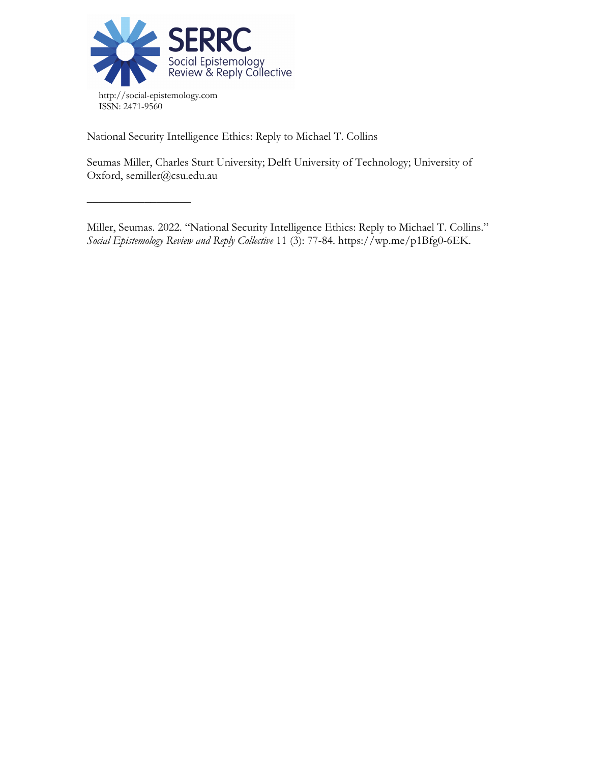

––––––––––––––––––

National Security Intelligence Ethics: Reply to Michael T. Collins

Seumas Miller, Charles Sturt University; Delft University of Technology; University of Oxford, semiller@csu.edu.au

Miller, Seumas. 2022. "National Security Intelligence Ethics: Reply to Michael T. Collins." *Social Epistemology Review and Reply Collective* 11 (3): 77-84. https://wp.me/p1Bfg0-6EK.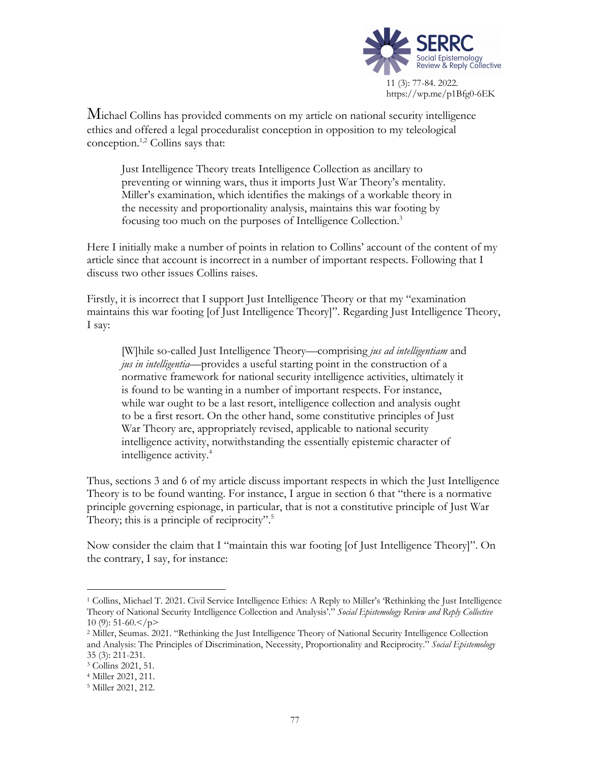

Michael Collins has provided comments on my article on national security intelligence ethics and offered a legal proceduralist conception in opposition to my teleological conception. 1,2 Collins says that:

Just Intelligence Theory treats Intelligence Collection as ancillary to preventing or winning wars, thus it imports Just War Theory's mentality. Miller's examination, which identifies the makings of a workable theory in the necessity and proportionality analysis, maintains this war footing by focusing too much on the purposes of Intelligence Collection.<sup>3</sup>

Here I initially make a number of points in relation to Collins' account of the content of my article since that account is incorrect in a number of important respects. Following that I discuss two other issues Collins raises.

Firstly, it is incorrect that I support Just Intelligence Theory or that my "examination maintains this war footing [of Just Intelligence Theory]". Regarding Just Intelligence Theory, I say:

[W]hile so-called Just Intelligence Theory—comprising *jus ad intelligentiam* and *jus in intelligentia*—provides a useful starting point in the construction of a normative framework for national security intelligence activities, ultimately it is found to be wanting in a number of important respects. For instance, while war ought to be a last resort, intelligence collection and analysis ought to be a first resort. On the other hand, some constitutive principles of Just War Theory are, appropriately revised, applicable to national security intelligence activity, notwithstanding the essentially epistemic character of intelligence activity.<sup>4</sup>

Thus, sections 3 and 6 of my article discuss important respects in which the Just Intelligence Theory is to be found wanting. For instance, I argue in section 6 that "there is a normative principle governing espionage, in particular, that is not a constitutive principle of Just War Theory; this is a principle of reciprocity".<sup>5</sup>

Now consider the claim that I "maintain this war footing [of Just Intelligence Theory]". On the contrary, I say, for instance:

<sup>1</sup> Collins, Michael T. 2021. Civil Service Intelligence Ethics: A Reply to Miller's 'Rethinking the Just Intelligence Theory of National Security Intelligence Collection and Analysis'." *Social Epistemology Review and Reply Collective* 10 (9):  $51-60 < p$ 

<sup>2</sup> Miller, Seumas. 2021. "Rethinking the Just Intelligence Theory of National Security Intelligence Collection and Analysis: The Principles of Discrimination, Necessity, Proportionality and Reciprocity." *Social Epistemology* 35 (3): 211-231. 3 Collins 2021, 51.

<sup>4</sup> Miller 2021, 211.

<sup>5</sup> Miller 2021, 212.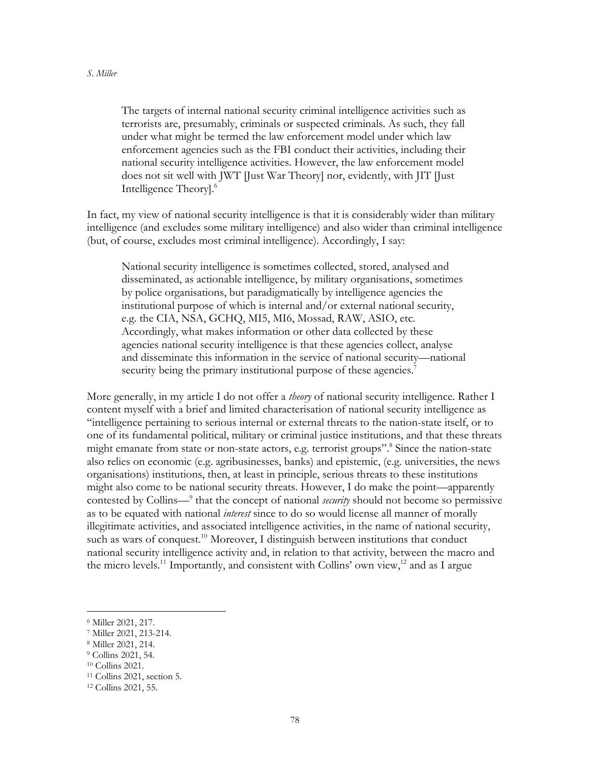The targets of internal national security criminal intelligence activities such as terrorists are, presumably, criminals or suspected criminals. As such, they fall under what might be termed the law enforcement model under which law enforcement agencies such as the FBI conduct their activities, including their national security intelligence activities. However, the law enforcement model does not sit well with JWT [Just War Theory] nor, evidently, with JIT [Just Intelligence Theory]. 6

In fact, my view of national security intelligence is that it is considerably wider than military intelligence (and excludes some military intelligence) and also wider than criminal intelligence (but, of course, excludes most criminal intelligence). Accordingly, I say:

National security intelligence is sometimes collected, stored, analysed and disseminated, as actionable intelligence, by military organisations, sometimes by police organisations, but paradigmatically by intelligence agencies the institutional purpose of which is internal and/or external national security, e.g. the CIA, NSA, GCHQ, MI5, MI6, Mossad, RAW, ASIO, etc. Accordingly, what makes information or other data collected by these agencies national security intelligence is that these agencies collect, analyse and disseminate this information in the service of national security—national security being the primary institutional purpose of these agencies.<sup>7</sup>

More generally, in my article I do not offer a *theory* of national security intelligence. Rather I content myself with a brief and limited characterisation of national security intelligence as "intelligence pertaining to serious internal or external threats to the nation-state itself, or to one of its fundamental political, military or criminal justice institutions, and that these threats might emanate from state or non-state actors, e.g. terrorist groups". <sup>8</sup> Since the nation-state also relies on economic (e.g. agribusinesses, banks) and epistemic, (e.g. universities, the news organisations) institutions, then, at least in principle, serious threats to these institutions might also come to be national security threats. However, I do make the point—apparently contested by Collins—9 that the concept of national *security* should not become so permissive as to be equated with national *interest* since to do so would license all manner of morally illegitimate activities, and associated intelligence activities, in the name of national security, such as wars of conquest.<sup>10</sup> Moreover, I distinguish between institutions that conduct national security intelligence activity and, in relation to that activity, between the macro and the micro levels.<sup>11</sup> Importantly, and consistent with Collins' own view,<sup>12</sup> and as I argue

<sup>6</sup> Miller 2021, 217.

<sup>7</sup> Miller 2021, 213-214.

<sup>8</sup> Miller 2021, 214.

<sup>9</sup> Collins 2021, 54.

<sup>10</sup> Collins 2021.

<sup>&</sup>lt;sup>11</sup> Collins 2021, section 5.

<sup>12</sup> Collins 2021, 55.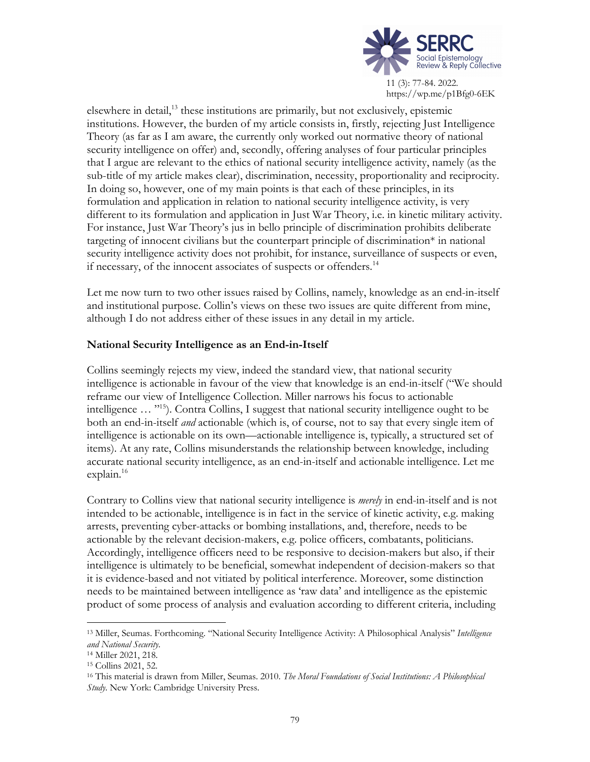

11 (3): 77-84. 2022. https://wp.me/p1Bfg0-6EK

elsewhere in detail, <sup>13</sup> these institutions are primarily, but not exclusively, epistemic institutions. However, the burden of my article consists in, firstly, rejecting Just Intelligence Theory (as far as I am aware, the currently only worked out normative theory of national security intelligence on offer) and, secondly, offering analyses of four particular principles that I argue are relevant to the ethics of national security intelligence activity, namely (as the sub-title of my article makes clear), discrimination, necessity, proportionality and reciprocity. In doing so, however, one of my main points is that each of these principles, in its formulation and application in relation to national security intelligence activity, is very different to its formulation and application in Just War Theory, i.e. in kinetic military activity. For instance, Just War Theory's jus in bello principle of discrimination prohibits deliberate targeting of innocent civilians but the counterpart principle of discrimination\* in national security intelligence activity does not prohibit, for instance, surveillance of suspects or even, if necessary, of the innocent associates of suspects or offenders.<sup>14</sup>

Let me now turn to two other issues raised by Collins, namely, knowledge as an end-in-itself and institutional purpose. Collin's views on these two issues are quite different from mine, although I do not address either of these issues in any detail in my article.

## **National Security Intelligence as an End-in-Itself**

Collins seemingly rejects my view, indeed the standard view, that national security intelligence is actionable in favour of the view that knowledge is an end-in-itself ("We should reframe our view of Intelligence Collection. Miller narrows his focus to actionable intelligence … "15). Contra Collins, I suggest that national security intelligence ought to be both an end-in-itself *and* actionable (which is, of course, not to say that every single item of intelligence is actionable on its own—actionable intelligence is, typically, a structured set of items). At any rate, Collins misunderstands the relationship between knowledge, including accurate national security intelligence, as an end-in-itself and actionable intelligence. Let me explain. 16

Contrary to Collins view that national security intelligence is *merely* in end-in-itself and is not intended to be actionable, intelligence is in fact in the service of kinetic activity, e.g. making arrests, preventing cyber-attacks or bombing installations, and, therefore, needs to be actionable by the relevant decision-makers, e.g. police officers, combatants, politicians. Accordingly, intelligence officers need to be responsive to decision-makers but also, if their intelligence is ultimately to be beneficial, somewhat independent of decision-makers so that it is evidence-based and not vitiated by political interference. Moreover, some distinction needs to be maintained between intelligence as 'raw data' and intelligence as the epistemic product of some process of analysis and evaluation according to different criteria, including

<sup>13</sup> Miller, Seumas. Forthcoming. "National Security Intelligence Activity: A Philosophical Analysis" *Intelligence and National Security*.

<sup>14</sup> Miller 2021, 218.

<sup>15</sup> Collins 2021, 52.

<sup>16</sup> This material is drawn from Miller, Seumas. 2010. *The Moral Foundations of Social Institutions: A Philosophical Study*. New York: Cambridge University Press.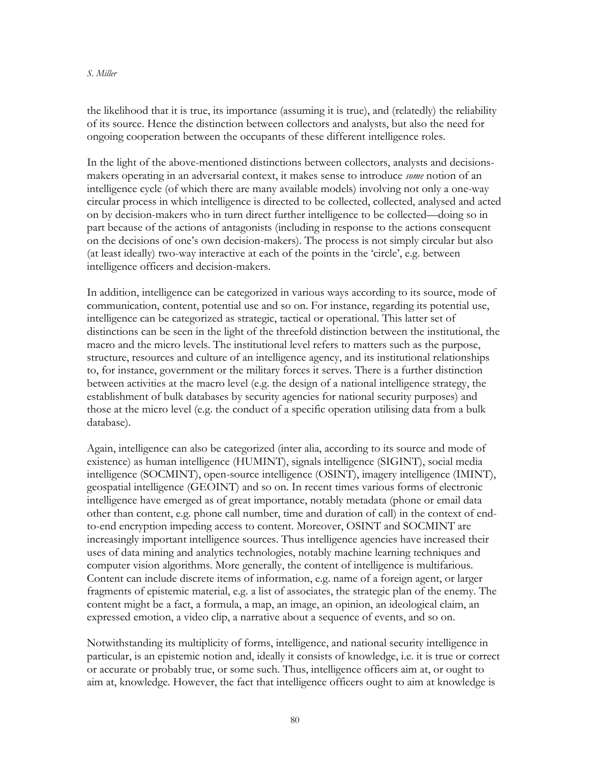## *S. Miller*

the likelihood that it is true, its importance (assuming it is true), and (relatedly) the reliability of its source. Hence the distinction between collectors and analysts, but also the need for ongoing cooperation between the occupants of these different intelligence roles.

In the light of the above-mentioned distinctions between collectors, analysts and decisionsmakers operating in an adversarial context, it makes sense to introduce *some* notion of an intelligence cycle (of which there are many available models) involving not only a one-way circular process in which intelligence is directed to be collected, collected, analysed and acted on by decision-makers who in turn direct further intelligence to be collected—doing so in part because of the actions of antagonists (including in response to the actions consequent on the decisions of one's own decision-makers). The process is not simply circular but also (at least ideally) two-way interactive at each of the points in the 'circle', e.g. between intelligence officers and decision-makers.

In addition, intelligence can be categorized in various ways according to its source, mode of communication, content, potential use and so on. For instance, regarding its potential use, intelligence can be categorized as strategic, tactical or operational. This latter set of distinctions can be seen in the light of the threefold distinction between the institutional, the macro and the micro levels. The institutional level refers to matters such as the purpose, structure, resources and culture of an intelligence agency, and its institutional relationships to, for instance, government or the military forces it serves. There is a further distinction between activities at the macro level (e.g. the design of a national intelligence strategy, the establishment of bulk databases by security agencies for national security purposes) and those at the micro level (e.g. the conduct of a specific operation utilising data from a bulk database).

Again, intelligence can also be categorized (inter alia, according to its source and mode of existence) as human intelligence (HUMINT), signals intelligence (SIGINT), social media intelligence (SOCMINT), open-source intelligence (OSINT), imagery intelligence (IMINT), geospatial intelligence (GEOINT) and so on. In recent times various forms of electronic intelligence have emerged as of great importance, notably metadata (phone or email data other than content, e.g. phone call number, time and duration of call) in the context of endto-end encryption impeding access to content. Moreover, OSINT and SOCMINT are increasingly important intelligence sources. Thus intelligence agencies have increased their uses of data mining and analytics technologies, notably machine learning techniques and computer vision algorithms. More generally, the content of intelligence is multifarious. Content can include discrete items of information, e.g. name of a foreign agent, or larger fragments of epistemic material, e.g. a list of associates, the strategic plan of the enemy. The content might be a fact, a formula, a map, an image, an opinion, an ideological claim, an expressed emotion, a video clip, a narrative about a sequence of events, and so on.

Notwithstanding its multiplicity of forms, intelligence, and national security intelligence in particular, is an epistemic notion and, ideally it consists of knowledge, i.e. it is true or correct or accurate or probably true, or some such. Thus, intelligence officers aim at, or ought to aim at, knowledge. However, the fact that intelligence officers ought to aim at knowledge is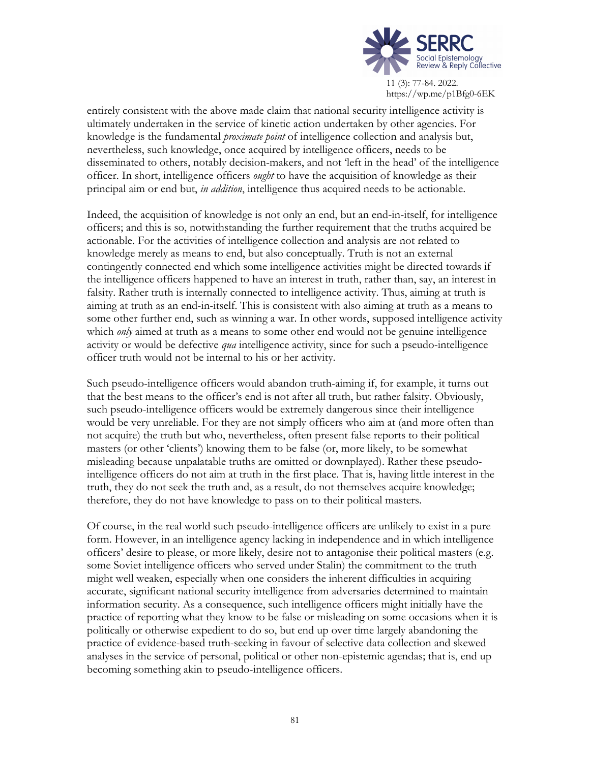

11 (3): 77-84. 2022. https://wp.me/p1Bfg0-6EK

entirely consistent with the above made claim that national security intelligence activity is ultimately undertaken in the service of kinetic action undertaken by other agencies. For knowledge is the fundamental *proximate point* of intelligence collection and analysis but, nevertheless, such knowledge, once acquired by intelligence officers, needs to be disseminated to others, notably decision-makers, and not 'left in the head' of the intelligence officer. In short, intelligence officers *ought* to have the acquisition of knowledge as their principal aim or end but, *in addition*, intelligence thus acquired needs to be actionable.

Indeed, the acquisition of knowledge is not only an end, but an end-in-itself, for intelligence officers; and this is so, notwithstanding the further requirement that the truths acquired be actionable. For the activities of intelligence collection and analysis are not related to knowledge merely as means to end, but also conceptually. Truth is not an external contingently connected end which some intelligence activities might be directed towards if the intelligence officers happened to have an interest in truth, rather than, say, an interest in falsity. Rather truth is internally connected to intelligence activity. Thus, aiming at truth is aiming at truth as an end-in-itself. This is consistent with also aiming at truth as a means to some other further end, such as winning a war. In other words, supposed intelligence activity which *only* aimed at truth as a means to some other end would not be genuine intelligence activity or would be defective *qua* intelligence activity, since for such a pseudo-intelligence officer truth would not be internal to his or her activity.

Such pseudo-intelligence officers would abandon truth-aiming if, for example, it turns out that the best means to the officer's end is not after all truth, but rather falsity. Obviously, such pseudo-intelligence officers would be extremely dangerous since their intelligence would be very unreliable. For they are not simply officers who aim at (and more often than not acquire) the truth but who, nevertheless, often present false reports to their political masters (or other 'clients') knowing them to be false (or, more likely, to be somewhat misleading because unpalatable truths are omitted or downplayed). Rather these pseudointelligence officers do not aim at truth in the first place. That is, having little interest in the truth, they do not seek the truth and, as a result, do not themselves acquire knowledge; therefore, they do not have knowledge to pass on to their political masters.

Of course, in the real world such pseudo-intelligence officers are unlikely to exist in a pure form. However, in an intelligence agency lacking in independence and in which intelligence officers' desire to please, or more likely, desire not to antagonise their political masters (e.g. some Soviet intelligence officers who served under Stalin) the commitment to the truth might well weaken, especially when one considers the inherent difficulties in acquiring accurate, significant national security intelligence from adversaries determined to maintain information security. As a consequence, such intelligence officers might initially have the practice of reporting what they know to be false or misleading on some occasions when it is politically or otherwise expedient to do so, but end up over time largely abandoning the practice of evidence-based truth-seeking in favour of selective data collection and skewed analyses in the service of personal, political or other non-epistemic agendas; that is, end up becoming something akin to pseudo-intelligence officers.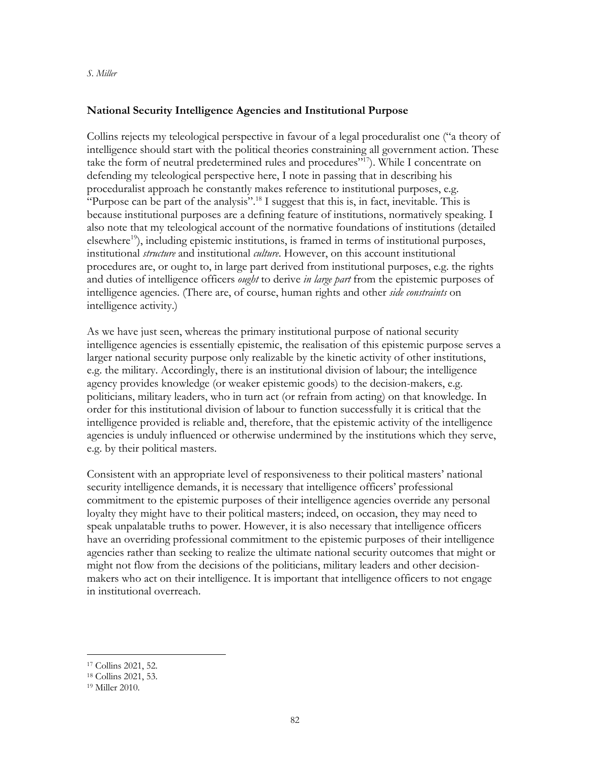## **National Security Intelligence Agencies and Institutional Purpose**

Collins rejects my teleological perspective in favour of a legal proceduralist one ("a theory of intelligence should start with the political theories constraining all government action. These take the form of neutral predetermined rules and procedures"<sup>17</sup>). While I concentrate on defending my teleological perspective here, I note in passing that in describing his proceduralist approach he constantly makes reference to institutional purposes, e.g. "Purpose can be part of the analysis".<sup>18</sup> I suggest that this is, in fact, inevitable. This is because institutional purposes are a defining feature of institutions, normatively speaking. I also note that my teleological account of the normative foundations of institutions (detailed  $e$ lsewhere<sup>19</sup>), including epistemic institutions, is framed in terms of institutional purposes, institutional *structure* and institutional *culture*. However, on this account institutional procedures are, or ought to, in large part derived from institutional purposes, e.g. the rights and duties of intelligence officers *ought* to derive *in large part* from the epistemic purposes of intelligence agencies. (There are, of course, human rights and other *side constraints* on intelligence activity.)

As we have just seen, whereas the primary institutional purpose of national security intelligence agencies is essentially epistemic, the realisation of this epistemic purpose serves a larger national security purpose only realizable by the kinetic activity of other institutions, e.g. the military. Accordingly, there is an institutional division of labour; the intelligence agency provides knowledge (or weaker epistemic goods) to the decision-makers, e.g. politicians, military leaders, who in turn act (or refrain from acting) on that knowledge. In order for this institutional division of labour to function successfully it is critical that the intelligence provided is reliable and, therefore, that the epistemic activity of the intelligence agencies is unduly influenced or otherwise undermined by the institutions which they serve, e.g. by their political masters.

Consistent with an appropriate level of responsiveness to their political masters' national security intelligence demands, it is necessary that intelligence officers' professional commitment to the epistemic purposes of their intelligence agencies override any personal loyalty they might have to their political masters; indeed, on occasion, they may need to speak unpalatable truths to power. However, it is also necessary that intelligence officers have an overriding professional commitment to the epistemic purposes of their intelligence agencies rather than seeking to realize the ultimate national security outcomes that might or might not flow from the decisions of the politicians, military leaders and other decisionmakers who act on their intelligence. It is important that intelligence officers to not engage in institutional overreach.

<sup>17</sup> Collins 2021, 52.

<sup>18</sup> Collins 2021, 53.

<sup>19</sup> Miller 2010.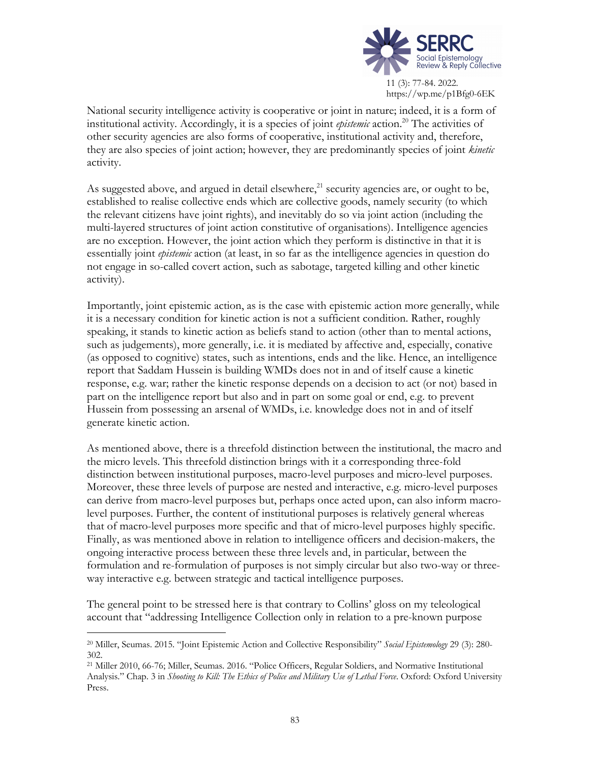

11 (3): 77-84. 2022. https://wp.me/p1Bfg0-6EK

National security intelligence activity is cooperative or joint in nature; indeed, it is a form of institutional activity. Accordingly, it is a species of joint *epistemic* action. <sup>20</sup> The activities of other security agencies are also forms of cooperative, institutional activity and, therefore, they are also species of joint action; however, they are predominantly species of joint *kinetic* activity.

As suggested above, and argued in detail elsewhere, $^{21}$  security agencies are, or ought to be, established to realise collective ends which are collective goods, namely security (to which the relevant citizens have joint rights), and inevitably do so via joint action (including the multi-layered structures of joint action constitutive of organisations). Intelligence agencies are no exception. However, the joint action which they perform is distinctive in that it is essentially joint *epistemic* action (at least, in so far as the intelligence agencies in question do not engage in so-called covert action, such as sabotage, targeted killing and other kinetic activity).

Importantly, joint epistemic action, as is the case with epistemic action more generally, while it is a necessary condition for kinetic action is not a sufficient condition. Rather, roughly speaking, it stands to kinetic action as beliefs stand to action (other than to mental actions, such as judgements), more generally, i.e. it is mediated by affective and, especially, conative (as opposed to cognitive) states, such as intentions, ends and the like. Hence, an intelligence report that Saddam Hussein is building WMDs does not in and of itself cause a kinetic response, e.g. war; rather the kinetic response depends on a decision to act (or not) based in part on the intelligence report but also and in part on some goal or end, e.g. to prevent Hussein from possessing an arsenal of WMDs, i.e. knowledge does not in and of itself generate kinetic action.

As mentioned above, there is a threefold distinction between the institutional, the macro and the micro levels. This threefold distinction brings with it a corresponding three-fold distinction between institutional purposes, macro-level purposes and micro-level purposes. Moreover, these three levels of purpose are nested and interactive, e.g. micro-level purposes can derive from macro-level purposes but, perhaps once acted upon, can also inform macrolevel purposes. Further, the content of institutional purposes is relatively general whereas that of macro-level purposes more specific and that of micro-level purposes highly specific. Finally, as was mentioned above in relation to intelligence officers and decision-makers, the ongoing interactive process between these three levels and, in particular, between the formulation and re-formulation of purposes is not simply circular but also two-way or threeway interactive e.g. between strategic and tactical intelligence purposes.

The general point to be stressed here is that contrary to Collins' gloss on my teleological account that "addressing Intelligence Collection only in relation to a pre-known purpose

<sup>20</sup> Miller, Seumas. 2015. "Joint Epistemic Action and Collective Responsibility" *Social Epistemology* 29 (3): 280- 302.

<sup>21</sup> Miller 2010, 66-76; Miller, Seumas. 2016. "Police Officers, Regular Soldiers, and Normative Institutional Analysis." Chap. 3 in *Shooting to Kill: The Ethics of Police and Military Use of Lethal Force*. Oxford: Oxford University Press.